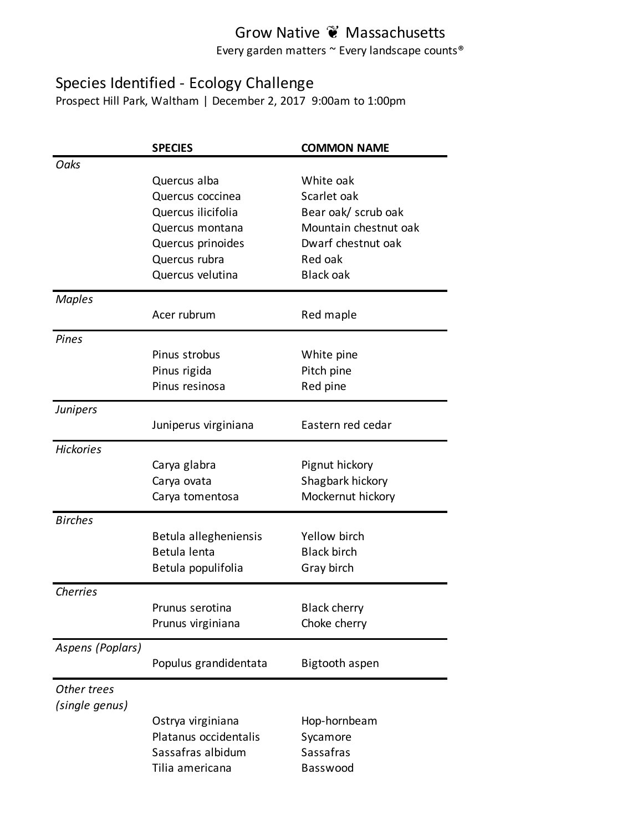Every garden matters ~ Every landscape counts®

#### Species Identified - Ecology Challenge

Prospect Hill Park, Waltham | December 2, 2017 9:00am to 1:00pm

|                  | <b>SPECIES</b>        | <b>COMMON NAME</b>    |
|------------------|-----------------------|-----------------------|
| Oaks             |                       |                       |
|                  | Quercus alba          | White oak             |
|                  | Quercus coccinea      | Scarlet oak           |
|                  | Quercus ilicifolia    | Bear oak/ scrub oak   |
|                  | Quercus montana       | Mountain chestnut oak |
|                  | Quercus prinoides     | Dwarf chestnut oak    |
|                  | Quercus rubra         | Red oak               |
|                  | Quercus velutina      | <b>Black oak</b>      |
| <b>Maples</b>    |                       |                       |
|                  | Acer rubrum           | Red maple             |
| Pines            |                       |                       |
|                  | Pinus strobus         | White pine            |
|                  | Pinus rigida          | Pitch pine            |
|                  | Pinus resinosa        | Red pine              |
| <b>Junipers</b>  |                       |                       |
|                  | Juniperus virginiana  | Eastern red cedar     |
| <b>Hickories</b> |                       |                       |
|                  | Carya glabra          | Pignut hickory        |
|                  | Carya ovata           | Shagbark hickory      |
|                  | Carya tomentosa       | Mockernut hickory     |
| <b>Birches</b>   |                       |                       |
|                  | Betula allegheniensis | Yellow birch          |
|                  | Betula lenta          | <b>Black birch</b>    |
|                  | Betula populifolia    | Gray birch            |
| <b>Cherries</b>  |                       |                       |
|                  | Prunus serotina       | <b>Black cherry</b>   |
|                  | Prunus virginiana     | Choke cherry          |
| Aspens (Poplars) |                       |                       |
|                  | Populus grandidentata | Bigtooth aspen        |
| Other trees      |                       |                       |
| (single genus)   |                       |                       |
|                  | Ostrya virginiana     | Hop-hornbeam          |
|                  | Platanus occidentalis | Sycamore              |
|                  | Sassafras albidum     | Sassafras             |
|                  | Tilia americana       | Basswood              |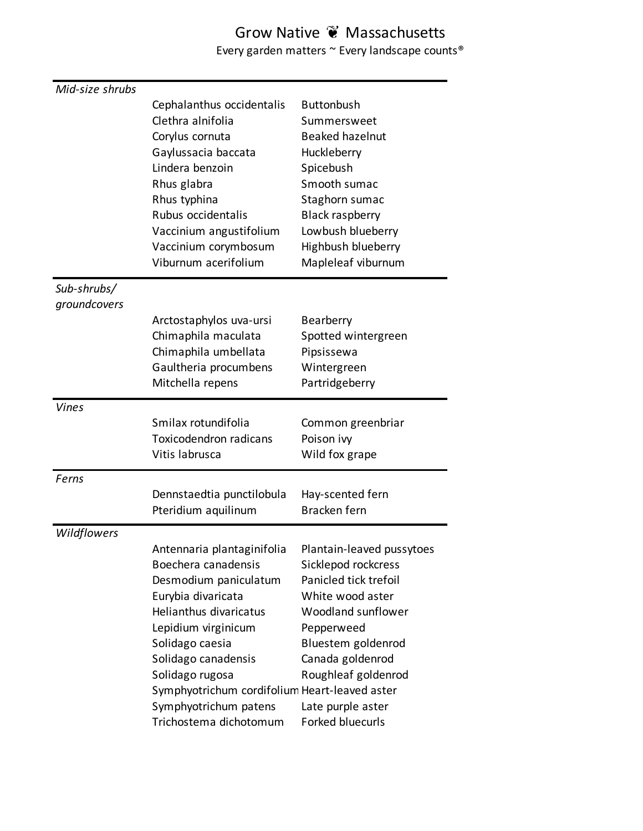Every garden matters  $\sim$  Every landscape counts®

| Mid-size shrubs |                                               |                           |
|-----------------|-----------------------------------------------|---------------------------|
|                 | Cephalanthus occidentalis                     | <b>Buttonbush</b>         |
|                 | Clethra alnifolia                             | Summersweet               |
|                 | Corylus cornuta                               | <b>Beaked hazelnut</b>    |
|                 | Gaylussacia baccata                           | Huckleberry               |
|                 | Lindera benzoin                               | Spicebush                 |
|                 | Rhus glabra                                   | Smooth sumac              |
|                 | Rhus typhina                                  | Staghorn sumac            |
|                 | Rubus occidentalis                            | <b>Black raspberry</b>    |
|                 | Vaccinium angustifolium                       | Lowbush blueberry         |
|                 | Vaccinium corymbosum                          | Highbush blueberry        |
|                 | Viburnum acerifolium                          | Mapleleaf viburnum        |
| Sub-shrubs/     |                                               |                           |
| groundcovers    |                                               |                           |
|                 | Arctostaphylos uva-ursi                       | Bearberry                 |
|                 | Chimaphila maculata                           | Spotted wintergreen       |
|                 | Chimaphila umbellata                          | Pipsissewa                |
|                 | Gaultheria procumbens                         | Wintergreen               |
|                 | Mitchella repens                              | Partridgeberry            |
| <b>Vines</b>    |                                               |                           |
|                 | Smilax rotundifolia                           | Common greenbriar         |
|                 | <b>Toxicodendron radicans</b>                 | Poison ivy                |
|                 | Vitis labrusca                                | Wild fox grape            |
| Ferns           |                                               |                           |
|                 | Dennstaedtia punctilobula                     | Hay-scented fern          |
|                 | Pteridium aquilinum                           | Bracken fern              |
| Wildflowers     |                                               |                           |
|                 | Antennaria plantaginifolia                    | Plantain-leaved pussytoes |
|                 | Boechera canadensis                           | Sicklepod rockcress       |
|                 | Desmodium paniculatum                         | Panicled tick trefoil     |
|                 | Eurybia divaricata                            | White wood aster          |
|                 | Helianthus divaricatus                        | Woodland sunflower        |
|                 | Lepidium virginicum                           | Pepperweed                |
|                 | Solidago caesia                               | Bluestem goldenrod        |
|                 | Solidago canadensis                           | Canada goldenrod          |
|                 | Solidago rugosa                               | Roughleaf goldenrod       |
|                 | Symphyotrichum cordifolium Heart-leaved aster |                           |
|                 | Symphyotrichum patens                         | Late purple aster         |
|                 | Trichostema dichotomum                        | Forked bluecurls          |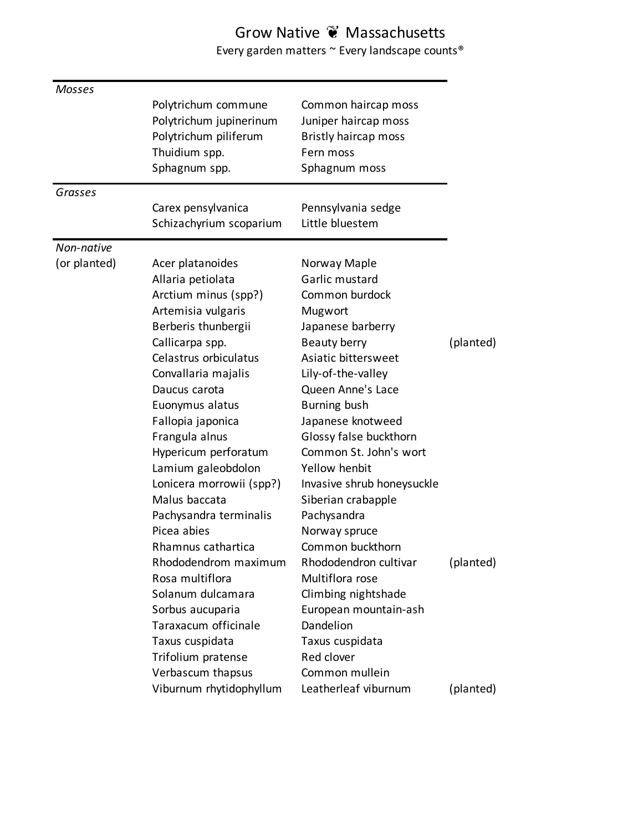Every garden matters  $\sim$  Every landscape counts®

| Mosses       |                                                                                                                                                                                                                                                                                |                                                                                                                                                                                                                                                                                     |                        |
|--------------|--------------------------------------------------------------------------------------------------------------------------------------------------------------------------------------------------------------------------------------------------------------------------------|-------------------------------------------------------------------------------------------------------------------------------------------------------------------------------------------------------------------------------------------------------------------------------------|------------------------|
|              | Polytrichum commune<br>Polytrichum jupinerinum<br>Polytrichum piliferum<br>Thuidium spp.<br>Sphagnum spp.                                                                                                                                                                      | Common haircap moss<br>Juniper haircap moss<br><b>Bristly haircap moss</b><br>Fern moss<br>Sphagnum moss                                                                                                                                                                            |                        |
| Grasses      |                                                                                                                                                                                                                                                                                |                                                                                                                                                                                                                                                                                     |                        |
|              | Carex pensylvanica<br>Schizachyrium scoparium                                                                                                                                                                                                                                  | Pennsylvania sedge<br>Little bluestem                                                                                                                                                                                                                                               |                        |
| Non-native   |                                                                                                                                                                                                                                                                                |                                                                                                                                                                                                                                                                                     |                        |
| (or planted) | Acer platanoides<br>Allaria petiolata<br>Arctium minus (spp?)<br>Artemisia vulgaris<br>Berberis thunbergii                                                                                                                                                                     | Norway Maple<br>Garlic mustard<br>Common burdock<br>Mugwort<br>Japanese barberry                                                                                                                                                                                                    |                        |
|              | Callicarpa spp.<br>Celastrus orbiculatus<br>Convallaria majalis<br>Daucus carota<br>Euonymus alatus<br>Fallopia japonica<br>Frangula alnus<br>Hypericum perforatum<br>Lamium galeobdolon<br>Lonicera morrowii (spp?)<br>Malus baccata<br>Pachysandra terminalis<br>Picea abies | Beauty berry<br>Asiatic bittersweet<br>Lily-of-the-valley<br>Queen Anne's Lace<br><b>Burning bush</b><br>Japanese knotweed<br>Glossy false buckthorn<br>Common St. John's wort<br>Yellow henbit<br>Invasive shrub honeysuckle<br>Siberian crabapple<br>Pachysandra<br>Norway spruce | (planted)              |
|              | Rhamnus cathartica<br>Rhododendrom maximum<br>Rosa multiflora<br>Solanum dulcamara<br>Sorbus aucuparia<br>Taraxacum officinale<br>Taxus cuspidata<br>Trifolium pratense<br>Verbascum thapsus<br>Viburnum rhytidophyllum                                                        | Common buckthorn<br>Rhododendron cultivar<br>Multiflora rose<br>Climbing nightshade<br>European mountain-ash<br>Dandelion<br>Taxus cuspidata<br>Red clover<br>Common mullein<br>Leatherleaf viburnum                                                                                | (planted)<br>(planted) |